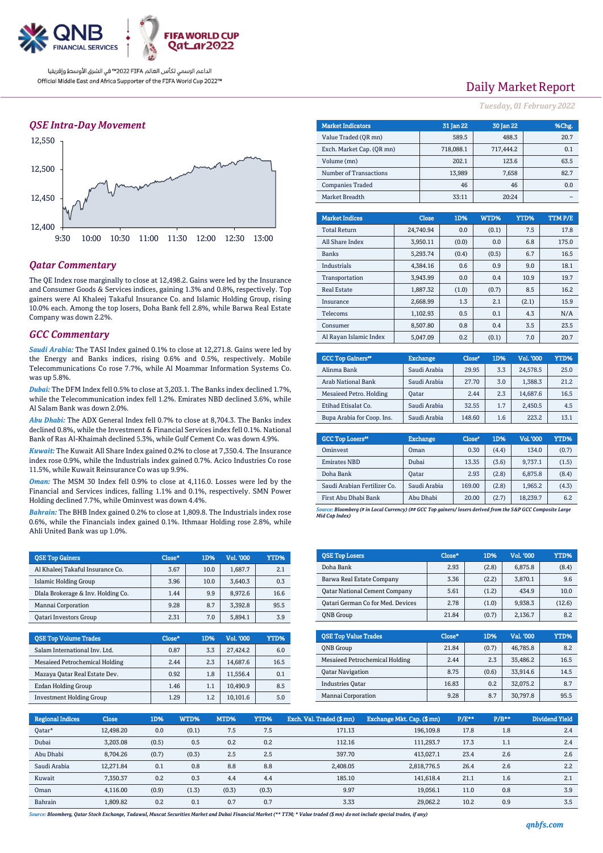

### *QSE Intra-Day Movement*



## *Qatar Commentary*

The QE Index rose marginally to close at 12,498.2. Gains were led by the Insurance and Consumer Goods & Services indices, gaining 1.3% and 0.8%, respectively. Top gainers were Al Khaleej Takaful Insurance Co. and Islamic Holding Group, rising 10.0% each. Among the top losers, Doha Bank fell 2.8%, while Barwa Real Estate Company was down 2.2%.

#### *GCC Commentary*

*Saudi Arabia:* The TASI Index gained 0.1% to close at 12,271.8. Gains were led by the Energy and Banks indices, rising 0.6% and 0.5%, respectively. Mobile Telecommunications Co rose 7.7%, while Al Moammar Information Systems Co. was up 5.8%.

*Dubai:* The DFM Index fell 0.5% to close at 3,203.1. The Banks index declined 1.7%, while the Telecommunication index fell 1.2%. Emirates NBD declined 3.6%, while Al Salam Bank was down 2.0%.

*Abu Dhabi:* The ADX General Index fell 0.7% to close at 8,704.3. The Banks index declined 0.8%, while the Investment & Financial Services index fell 0.1%. National Bank of Ras Al-Khaimah declined 5.3%, while Gulf Cement Co. was down 4.9%.

*Kuwait:* The Kuwait All Share Index gained 0.2% to close at 7,350.4. The Insurance index rose 0.9%, while the Industrials index gained 0.7%. Acico Industries Co rose 11.5%, while Kuwait Reinsurance Co was up 9.9%.

*Oman:* The MSM 30 Index fell 0.9% to close at 4,116.0. Losses were led by the Financial and Services indices, falling 1.1% and 0.1%, respectively. SMN Power Holding declined 7.7%, while Ominvest was down 4.4%.

*Bahrain:* The BHB Index gained 0.2% to close at 1,809.8. The Industrials index rose 0.6%, while the Financials index gained 0.1%. Ithmaar Holding rose 2.8%, while Ahli United Bank was up 1.0%.

| <b>QSE Top Gainers</b>             | Close* | 1D%  | Vol. '000 | YTD% |
|------------------------------------|--------|------|-----------|------|
| Al Khaleej Takaful Insurance Co.   | 3.67   | 10.0 | 1,687.7   | 2.1  |
| Islamic Holding Group              | 3.96   | 10.0 | 3,640.3   | 0.3  |
| Dlala Brokerage & Inv. Holding Co. | 1.44   | 9.9  | 8.972.6   | 16.6 |
| Mannai Corporation                 | 9.28   | 8.7  | 3.392.8   | 95.5 |
| <b>Qatari Investors Group</b>      | 2.31   | 7.0  | 5.894.1   | 3.9  |

| <b>QSE Top Volume Trades</b>    | Close* | 1D% | <b>Vol. '000</b> | YTD% |
|---------------------------------|--------|-----|------------------|------|
| Salam International Inv. Ltd.   | 0.87   | 3.3 | 27.424.2         | 6.0  |
| Mesaieed Petrochemical Holding  | 2.44   | 2.3 | 14.687.6         | 16.5 |
| Mazaya Qatar Real Estate Dev.   | 0.92   | 1.8 | 11.556.4         | 0.1  |
| Ezdan Holding Group             | 1.46   | 1.1 | 10.490.9         | 8.5  |
| <b>Investment Holding Group</b> | 1.29   | 1.2 | 10,101.6         | 5.0  |

# Daily Market Report

*Tuesday, 01February 2022*

| <b>Market Indicators</b>  |                  | <b>31 Jan 22</b> | 30 Jan 22      |             |                | %Chg.         |  |  |
|---------------------------|------------------|------------------|----------------|-------------|----------------|---------------|--|--|
| Value Traded (OR mn)      |                  | 589.5            |                | 488.3       |                | 20.7          |  |  |
| Exch. Market Cap. (QR mn) |                  | 718,088.1        | 717,444.2      |             | 0.1            |               |  |  |
| Volume (mn)               |                  | 202.1            |                | 123.6       | 63.5           |               |  |  |
| Number of Transactions    |                  | 13,989           |                | 7,658       | 82.7           |               |  |  |
| <b>Companies Traded</b>   |                  | 46               |                | 46          | 0.0            |               |  |  |
| Market Breadth            |                  | 33:11            |                | 20:24       |                |               |  |  |
|                           |                  |                  |                |             |                |               |  |  |
| <b>Market Indices</b>     | <b>Close</b>     | 1D%              | WTD%           | <b>YTD%</b> |                | <b>TTMP/E</b> |  |  |
| <b>Total Return</b>       | 24,740.94        | 0.0              | (0.1)          |             | 7.5            | 17.8          |  |  |
| All Share Index           | 3,950.11         | (0.0)            | 0.0            |             | 6.8            | 175.0         |  |  |
| <b>Banks</b>              | 5,293.74         | (0.4)            | (0.5)          |             | 6.7<br>16.5    |               |  |  |
| Indu                      | $A$ 70 $A$ 1 $C$ | $\cap$ $\subset$ | 0 <sub>0</sub> |             | 0 <sub>n</sub> | 101           |  |  |

| Industrials            | 4,384.16 | 0.6   | 0.9   | 9.0   | 18.1 |
|------------------------|----------|-------|-------|-------|------|
| Transportation         | 3.943.99 | 0.0   | 0.4   | 10.9  | 19.7 |
| <b>Real Estate</b>     | 1.887.32 | (1.0) | (0.7) | 8.5   | 16.2 |
| Insurance              | 2.668.99 | 1.3   | 2.1   | (2.1) | 15.9 |
| Telecoms               | 1,102.93 | 0.5   | 0.1   | 4.3   | N/A  |
| Consumer               | 8.507.80 | 0.8   | 0.4   | 3.5   | 23.5 |
| Al Ravan Islamic Index | 5.047.09 | 0.2   | (0.1) | 7.0   | 20.7 |

| <b>GCC Top Gainers</b> "   | <b>Exchange</b> | Close* | 1D% | Vol. '000 | YTD% |
|----------------------------|-----------------|--------|-----|-----------|------|
| Alinma Bank                | Saudi Arabia    | 29.95  | 3.3 | 24.578.5  | 25.0 |
| Arab National Bank         | Saudi Arabia    | 27.70  | 3.0 | 1.388.3   | 21.2 |
| Mesaieed Petro. Holding    | Oatar           | 2.44   | 2.3 | 14.687.6  | 16.5 |
| Etihad Etisalat Co.        | Saudi Arabia    | 32.55  | 1.7 | 2.450.5   | 4.5  |
| Bupa Arabia for Coop. Ins. | Saudi Arabia    | 148.60 | 1.6 | 223.2     | 13.1 |

| <b>GCC Top Losers</b> "      | <b>Exchange</b> | Close <sup>®</sup> | 1D%   | <b>Vol.'000</b> | YTD%  |
|------------------------------|-----------------|--------------------|-------|-----------------|-------|
| Ominyest                     | Oman            | 0.30               | (4.4) | 134.0           | (0.7) |
| <b>Emirates NBD</b>          | Dubai           | 13.35              | (3.6) | 9.737.1         | (1.5) |
| Doha Bank                    | Oatar           | 2.93               | (2.8) | 6.875.8         | (8.4) |
| Saudi Arabian Fertilizer Co. | Saudi Arabia    | 169.00             | (2.8) | 1.965.2         | (4.3) |
| First Abu Dhabi Bank         | Abu Dhabi       | 20.00              | (2.7) | 18.239.7        | 6.2   |

*Source: Bloomberg (# in Local Currency) (## GCC Top gainers/ losers derived from the S&P GCC Composite Large Mid Cap Index)*

| <b>QSE Top Losers</b>                | $Close*$ | 1D%   | <b>Vol. '000</b> | YTD%   |
|--------------------------------------|----------|-------|------------------|--------|
| Doha Bank                            | 2.93     | (2.8) | 6,875.8          | (8.4)  |
| Barwa Real Estate Company            | 3.36     | (2.2) | 3,870.1          | 9.6    |
| <b>Qatar National Cement Company</b> | 5.61     | (1.2) | 434.9            | 10.0   |
| Qatari German Co for Med. Devices    | 2.78     | (1.0) | 9.938.3          | (12.6) |
| <b>ONB</b> Group                     | 21.84    | (0.7) | 2.136.7          | 8.2    |

| <b>OSE Top Value Trades</b>    | Close* | 1D%   | Val. '000 | YTD% |
|--------------------------------|--------|-------|-----------|------|
| <b>ONB</b> Group               | 21.84  | (0.7) | 46,785.8  | 8.2  |
| Mesaieed Petrochemical Holding | 2.44   | 2.3   | 35.486.2  | 16.5 |
| <b>Qatar Navigation</b>        | 8.75   | (0.6) | 33,914.6  | 14.5 |
| <b>Industries Oatar</b>        | 16.83  | 0.2   | 32.075.2  | 8.7  |
| Mannai Corporation             | 9.28   | 8.7   | 30,797.8  | 95.5 |

| <b>Regional Indices</b> | <b>Close</b> | 1D%   | WTD%  | MTD%  | YTD%  | Exch. Val. Traded (\$mn) | Exchange Mkt. Cap. (\$ mn) | $P/E***$ | $P/B**$ | Dividend Yield |
|-------------------------|--------------|-------|-------|-------|-------|--------------------------|----------------------------|----------|---------|----------------|
| Qatar*                  | 12,498.20    | 0.0   | (0.1) | 7.5   | 7.5   | 171.13                   | 196,109.8                  | 17.8     | 1.8     | 2.4            |
| Dubai                   | 3,203.08     | (0.5) | 0.5   | 0.2   | 0.2   | 112.16                   | 111,293.7                  | 17.3     | 1.1     | 2.4            |
| Abu Dhabi               | 8,704.26     | (0.7) | (0.3) | 2.5   | 2.5   | 397.70                   | 413,027.1                  | 23.4     | 2.6     | 2.6            |
| Saudi Arabia            | 12.271.84    | 0.1   | 0.8   | 8.8   | 8.8   | 2.408.05                 | 2,818,776.5                | 26.4     | 2.6     | 2.2            |
| Kuwait                  | 7.350.37     | 0.2   | 0.3   | 4.4   | 4.4   | 185.10                   | 141.618.4                  | 21.1     | 1.6     | 2.1            |
| Oman                    | 4.116.00     | (0.9) | (1.3) | (0.3) | (0.3) | 9.97                     | 19.056.1                   | 11.0     | 0.8     | 3.9            |
| Bahrain                 | 1.809.82     | 0.2   | 0.1   | 0.7   | 0.7   | 3.33                     | 29.062.2                   | 10.2     | 0.9     | 3.5            |

*Source: Bloomberg, Qatar Stock Exchange, Tadawul, Muscat Securities Market and Dubai Financial Market (\*\* TTM; \* Value traded (\$ mn) do not include special trades, if any)*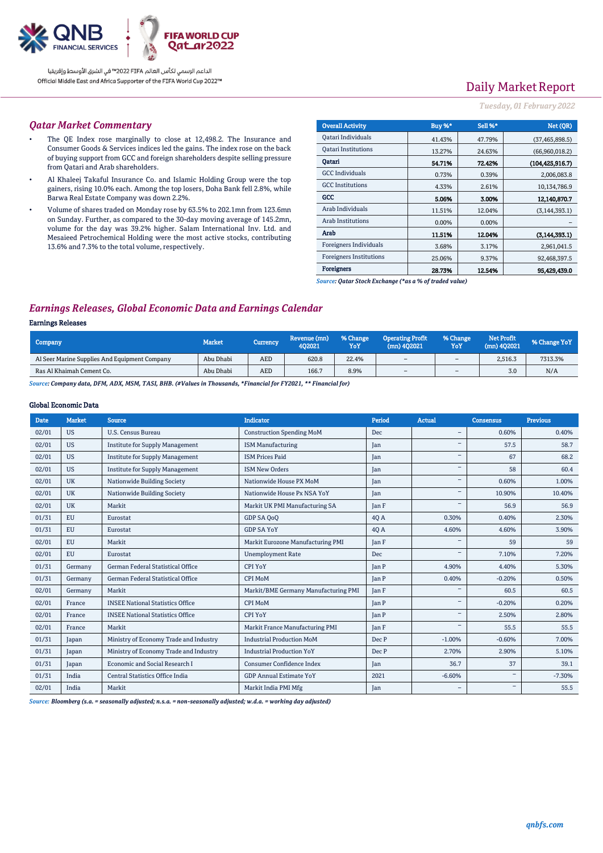

# Daily Market Report

### *Tuesday, 01February 2022*

### *Qatar Market Commentary*

- The QE Index rose marginally to close at 12,498.2. The Insurance and Consumer Goods & Services indices led the gains. The index rose on the back of buying support from GCC and foreign shareholders despite selling pressure from Qatari and Arab shareholders.
- Al Khaleej Takaful Insurance Co. and Islamic Holding Group were the top gainers, rising 10.0% each. Among the top losers, Doha Bank fell 2.8%, while Barwa Real Estate Company was down 2.2%.
- Volume of shares traded on Monday rose by 63.5% to 202.1mn from 123.6mn on Sunday. Further, as compared to the 30-day moving average of 145.2mn, volume for the day was 39.2% higher. Salam International Inv. Ltd. and Mesaieed Petrochemical Holding were the most active stocks, contributing 13.6% and 7.3% to the total volume, respectively.

| <b>Overall Activity</b>        | Buy %* | Sell %* | Net (QR)           |
|--------------------------------|--------|---------|--------------------|
| Qatari Individuals             | 41.43% | 47.79%  | (37, 465, 898.5)   |
| <b>Oatari Institutions</b>     | 13.27% | 24.63%  | (66,960,018.2)     |
| Oatari                         | 54.71% | 72.42%  | (104, 425, 916, 7) |
| <b>GCC</b> Individuals         | 0.73%  | 0.39%   | 2,006,083.8        |
| <b>GCC</b> Institutions        | 4.33%  | 2.61%   | 10,134,786.9       |
| GCC                            | 5.06%  | 3.00%   | 12,140,870.7       |
| Arab Individuals               | 11.51% | 12.04%  | (3, 144, 393.1)    |
| <b>Arab Institutions</b>       | 0.00%  | 0.00%   |                    |
| Arab                           | 11.51% | 12.04%  | (3,144,393,1)      |
| Foreigners Individuals         | 3.68%  | 3.17%   | 2,961,041.5        |
| <b>Foreigners Institutions</b> | 25.06% | 9.37%   | 92,468,397.5       |
| <b>Foreigners</b>              | 28.73% | 12.54%  | 95,429,439.0       |

*Source: Qatar Stock Exchange (\*as a % of traded value)*

## *Earnings Releases, Global Economic Data and Earnings Calendar*

### Earnings Releases

| Company                                       | <b>Market</b> | <b>Currency</b> | Revenue (mn)<br>402021 | % Change<br>YoY | <b>Operating Profit</b><br>$(mn)$ 402021 | % Change<br>YoY | <b>Net Profit</b><br>$(mn)$ 402021 | % Change YoY |
|-----------------------------------------------|---------------|-----------------|------------------------|-----------------|------------------------------------------|-----------------|------------------------------------|--------------|
| Al Seer Marine Supplies And Equipment Company | Abu Dhabi     | AED             | 620.8                  | 22.4%           | $\sim$                                   | $\sim$          | 2.516.3                            | 7313.3%      |
| Ras Al Khaimah Cement Co.                     | Abu Dhabi     | AED             | 166.7                  | 8.9%            | $\sim$                                   | $\sim$          | 3.0                                | N/A          |

*Source: Company data, DFM, ADX, MSM, TASI, BHB. (#Values in Thousands, \*Financial for FY2021, \*\* Financial for)*

### Global Economic Data

| <b>Date</b> | <b>Market</b> | <b>Source</b>                           | <b>Indicator</b>                     | Period       | Actual                   | <b>Consensus</b>  | <b>Previous</b> |
|-------------|---------------|-----------------------------------------|--------------------------------------|--------------|--------------------------|-------------------|-----------------|
| 02/01       | <b>US</b>     | <b>U.S. Census Bureau</b>               | <b>Construction Spending MoM</b>     | Dec          | $\overline{\phantom{a}}$ | 0.60%             | 0.40%           |
| 02/01       | <b>US</b>     | <b>Institute for Supply Management</b>  | <b>ISM Manufacturing</b>             | Jan          |                          | 57.5              | 58.7            |
| 02/01       | <b>US</b>     | <b>Institute for Supply Management</b>  | <b>ISM Prices Paid</b>               | Jan          | $\overline{\phantom{a}}$ | 67                | 68.2            |
| 02/01       | <b>US</b>     | <b>Institute for Supply Management</b>  | <b>ISM New Orders</b>                | Jan          |                          | 58                | 60.4            |
| 02/01       | <b>UK</b>     | Nationwide Building Society             | Nationwide House PX MoM              | Jan          |                          | 0.60%             | 1.00%           |
| 02/01       | <b>UK</b>     | Nationwide Building Society             | Nationwide House Px NSA YoY          | Jan          |                          | 10.90%            | 10.40%          |
| 02/01       | <b>UK</b>     | Markit                                  | Markit UK PMI Manufacturing SA       | <b>Tan F</b> |                          | 56.9              | 56.9            |
| 01/31       | <b>EU</b>     | Eurostat                                | GDP SA 0o0                           | 4Q A         | 0.30%                    | 0.40%             | 2.30%           |
| 01/31       | <b>EU</b>     | Eurostat                                | <b>GDP SA YoY</b>                    | 40 A         | 4.60%                    | 4.60%             | 3.90%           |
| 02/01       | <b>EU</b>     | Markit                                  | Markit Eurozone Manufacturing PMI    | Jan F        |                          | 59                | 59              |
| 02/01       | <b>EU</b>     | Eurostat                                | <b>Unemployment Rate</b>             | Dec          |                          | 7.10%             | 7.20%           |
| 01/31       | Germany       | German Federal Statistical Office       | CPI YoY                              | <b>Jan P</b> | 4.90%                    | 4.40%             | 5.30%           |
| 01/31       | Germany       | German Federal Statistical Office       | CPI MoM                              | <b>Jan P</b> | 0.40%                    | $-0.20%$          | 0.50%           |
| 02/01       | Germany       | Markit                                  | Markit/BME Germany Manufacturing PMI | <b>Jan F</b> |                          | 60.5              | 60.5            |
| 02/01       | France        | <b>INSEE National Statistics Office</b> | <b>CPI MoM</b>                       | <b>Jan P</b> |                          | $-0.20%$          | 0.20%           |
| 02/01       | France        | <b>INSEE National Statistics Office</b> | CPI YoY                              | <b>Tan P</b> |                          | 2.50%             | 2.80%           |
| 02/01       | France        | Markit                                  | Markit France Manufacturing PMI      | <b>Tan F</b> |                          | 55.5              | 55.5            |
| 01/31       | Japan         | Ministry of Economy Trade and Industry  | <b>Industrial Production MoM</b>     | Dec P        | $-1.00%$                 | $-0.60%$          | 7.00%           |
| 01/31       | Japan         | Ministry of Economy Trade and Industry  | <b>Industrial Production YoY</b>     | Dec P        | 2.70%                    | 2.90%             | 5.10%           |
| 01/31       | Japan         | Economic and Social Research I          | Consumer Confidence Index            | Jan          | 36.7                     | 37                | 39.1            |
| 01/31       | India         | Central Statistics Office India         | <b>GDP Annual Estimate YoY</b>       | 2021         | $-6.60%$                 | $\qquad \qquad -$ | $-7.30%$        |
| 02/01       | India         | Markit                                  | Markit India PMI Mfg                 | Jan          | $\overline{\phantom{a}}$ | $\qquad \qquad$   | 55.5            |

*Source: Bloomberg (s.a. = seasonally adjusted; n.s.a. = non-seasonally adjusted; w.d.a. = working day adjusted)*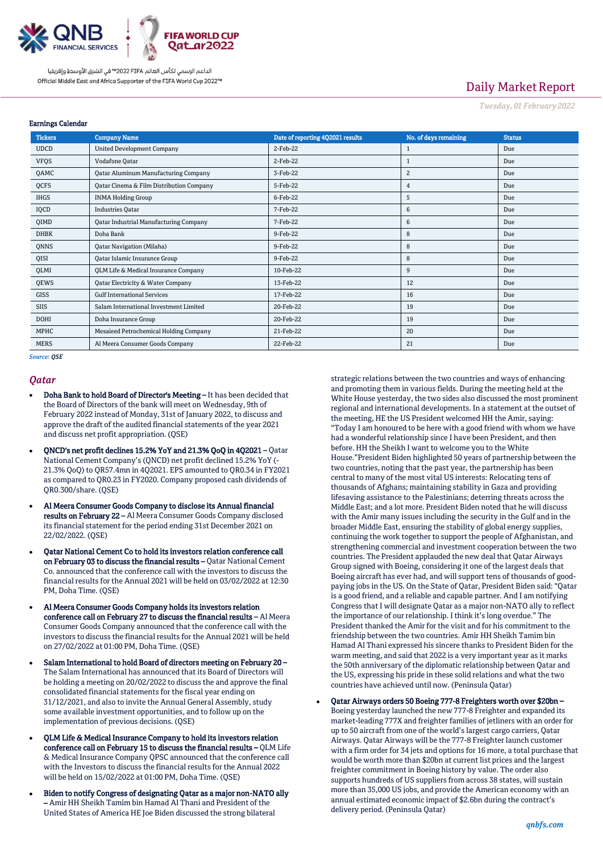

# Daily Market Report

*Tuesday, 01February 2022*

| <b>Tickers</b> | <b>Company Name</b>                             | Date of reporting 4Q2021 results | No. of days remaining | <b>Status</b> |
|----------------|-------------------------------------------------|----------------------------------|-----------------------|---------------|
| <b>UDCD</b>    | <b>United Development Company</b>               | 2-Feb-22                         |                       | Due           |
| <b>VFQS</b>    | Vodafone Qatar                                  | 2-Feb-22                         |                       | Due           |
| QAMC           | <b>Qatar Aluminum Manufacturing Company</b>     | 3-Feb-22                         | 2                     | Due           |
| QCFS           | Qatar Cinema & Film Distribution Company        | 5-Feb-22                         | 4                     | Due           |
| <b>IHGS</b>    | <b>INMA Holding Group</b>                       | 6-Feb-22                         | 5                     | Due           |
| IQCD           | <b>Industries Oatar</b>                         | 7-Feb-22                         | 6                     | Due           |
| QIMD           | <b>Qatar Industrial Manufacturing Company</b>   | 7-Feb-22                         | 6                     | Due           |
| <b>DHBK</b>    | Doha Bank                                       | 9-Feb-22                         | 8                     | Due           |
| QNNS           | <b>Qatar Navigation (Milaha)</b>                | 9-Feb-22                         | 8                     | Due           |
| QISI           | Qatar Islamic Insurance Group                   | 9-Feb-22                         | 8                     | Due           |
| QLMI           | <b>QLM Life &amp; Medical Insurance Company</b> | 10-Feb-22                        | 9                     | Due           |
| QEWS           | Qatar Electricity & Water Company               | 13-Feb-22                        | 12                    | Due           |
| GISS           | <b>Gulf International Services</b>              | 17-Feb-22                        | 16                    | Due           |
| SIIS           | Salam International Investment Limited          | 20-Feb-22                        | 19                    | Due           |
| <b>DOHI</b>    | Doha Insurance Group                            | 20-Feb-22                        | 19                    | Due           |
| MPHC           | Mesaieed Petrochemical Holding Company          | 21-Feb-22                        | 20                    | Due           |
| <b>MERS</b>    | Al Meera Consumer Goods Company                 | 22-Feb-22                        | 21                    | Due           |

*Source: QSE*

Earnings Calendar

### *Qatar*

- Doha Bank to hold Board of Director's Meeting It has been decided that the Board of Directors of the bank will meet on Wednesday, 9th of February 2022 instead of Monday, 31st of January 2022, to discuss and approve the draft of the audited financial statements of the year 2021 and discuss net profit appropriation. (QSE)
- QNCD's net profit declines 15.2% YoY and 21.3% QoQ in 4Q2021 Qatar National Cement Company's (QNCD) net profit declined 15.2% YoY (- 21.3% QoQ) to QR57.4mn in 4Q2021. EPS amounted to QR0.34 in FY2021 as compared to QR0.23 in FY2020. Company proposed cash dividends of QR0.300/share. (QSE)
- Al Meera Consumer Goods Company to disclose its Annual financial results on February 22 – Al Meera Consumer Goods Company disclosed its financial statement for the period ending 31st December 2021 on 22/02/2022. (QSE)
- Qatar National Cement Co to hold its investors relation conference call on February 03 to discuss the financial results – Qatar National Cement Co. announced that the conference call with the investors to discuss the financial results for the Annual 2021 will be held on 03/02/2022 at 12:30 PM, Doha Time. (QSE)
- Al Meera Consumer Goods Company holds its investors relation conference call on February 27 to discuss the financial results – Al Meera Consumer Goods Company announced that the conference call with the investors to discuss the financial results for the Annual 2021 will be held on 27/02/2022 at 01:00 PM, Doha Time. (QSE)
- Salam International to hold Board of directors meeting on February 20 The Salam International has announced that its Board of Directors will be holding a meeting on 20/02/2022 to discuss the and approve the final consolidated financial statements for the fiscal year ending on 31/12/2021, and also to invite the Annual General Assembly, study some available investment opportunities, and to follow up on the implementation of previous decisions. (QSE)
- QLM Life & Medical Insurance Company to hold its investors relation conference call on February 15 to discuss the financial results – QLM Life & Medical Insurance Company QPSC announced that the conference call with the Investors to discuss the financial results for the Annual 2022 will be held on 15/02/2022 at 01:00 PM, Doha Time. (QSE)
- Biden to notify Congress of designating Qatar as a major non-NATO ally – Amir HH Sheikh Tamim bin Hamad Al Thani and President of the United States of America HE Joe Biden discussed the strong bilateral

strategic relations between the two countries and ways of enhancing and promoting them in various fields. During the meeting held at the White House yesterday, the two sides also discussed the most prominent regional and international developments. In a statement at the outset of the meeting, HE the US President welcomed HH the Amir, saying: "Today I am honoured to be here with a good friend with whom we have had a wonderful relationship since I have been President, and then before. HH the Sheikh I want to welcome you to the White House."President Biden highlighted 50 years of partnership between the two countries, noting that the past year, the partnership has been central to many of the most vital US interests: Relocating tens of thousands of Afghans; maintaining stability in Gaza and providing lifesaving assistance to the Palestinians; deterring threats across the Middle East; and a lot more. President Biden noted that he will discuss with the Amir many issues including the security in the Gulf and in the broader Middle East, ensuring the stability of global energy supplies, continuing the work together to support the people of Afghanistan, and strengthening commercial and investment cooperation between the two countries. The President applauded the new deal that Qatar Airways Group signed with Boeing, considering it one of the largest deals that Boeing aircraft has ever had, and will support tens of thousands of goodpaying jobs in the US. On the State of Qatar, President Biden said: "Qatar is a good friend, and a reliable and capable partner. And I am notifying Congress that I will designate Qatar as a major non-NATO ally to reflect the importance of our relationship. I think it's long overdue." The President thanked the Amir for the visit and for his commitment to the friendship between the two countries. Amir HH Sheikh Tamim bin Hamad Al Thani expressed his sincere thanks to President Biden for the warm meeting, and said that 2022 is a very important year as it marks the 50th anniversary of the diplomatic relationship between Qatar and the US, expressing his pride in these solid relations and what the two countries have achieved until now. (Peninsula Qatar)

#### Qatar Airways orders 50 Boeing 777-8 Freighters worth over \$20bn –

Boeing yesterday launched the new 777-8 Freighter and expanded its market-leading 777X and freighter families of jetliners with an order for up to 50 aircraft from one of the world's largest cargo carriers, Qatar Airways. Qatar Airways will be the 777-8 Freighter launch customer with a firm order for 34 jets and options for 16 more, a total purchase that would be worth more than \$20bn at current list prices and the largest freighter commitment in Boeing history by value. The order also supports hundreds of US suppliers from across 38 states, will sustain more than 35,000 US jobs, and provide the American economy with an annual estimated economic impact of \$2.6bn during the contract's delivery period. (Peninsula Qatar)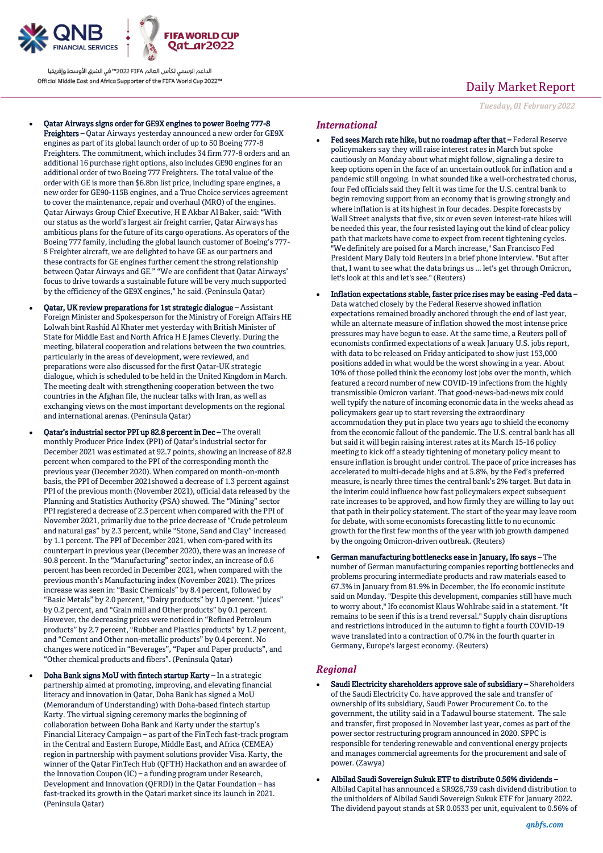

- Qatar Airways signs order for GE9X engines to power Boeing 777-8 Freighters – Qatar Airways yesterday announced a new order for GE9X engines as part of its global launch order of up to 50 Boeing 777-8 Freighters. The commitment, which includes 34 firm 777-8 orders and an additional 16 purchase right options, also includes GE90 engines for an additional order of two Boeing 777 Freighters. The total value of the order with GE is more than \$6.8bn list price, including spare engines, a new order for GE90-115B engines, and a True Choice services agreement to cover the maintenance, repair and overhaul (MRO) of the engines. Qatar Airways Group Chief Executive, H E Akbar Al Baker, said: "With our status as the world's largest air freight carrier, Qatar Airways has ambitious plans for the future of its cargo operations. As operators of the Boeing 777 family, including the global launch customer of Boeing's 777- 8 Freighter aircraft, we are delighted to have GE as our partners and these contracts for GE engines further cement the strong relationship between Qatar Airways and GE." "We are confident that Qatar Airways' focus to drive towards a sustainable future will be very much supported by the efficiency of the GE9X engines," he said. (Peninsula Qatar)
- Qatar, UK review preparations for 1st strategic dialogue Assistant Foreign Minister and Spokesperson for the Ministry of Foreign Affairs HE Lolwah bint Rashid Al Khater met yesterday with British Minister of State for Middle East and North Africa H E James Cleverly. During the meeting, bilateral cooperation and relations between the two countries, particularly in the areas of development, were reviewed, and preparations were also discussed for the first Qatar-UK strategic dialogue, which is scheduled to be held in the United Kingdom in March. The meeting dealt with strengthening cooperation between the two countries in the Afghan file, the nuclear talks with Iran, as well as exchanging views on the most important developments on the regional and international arenas. (Peninsula Qatar)
- Qatar's industrial sector PPI up 82.8 percent in Dec The overall monthly Producer Price Index (PPI) of Qatar's industrial sector for December 2021 was estimated at 92.7 points, showing an increase of 82.8 percent when compared to the PPI of the corresponding month the previous year (December 2020). When compared on month-on-month basis, the PPI of December 2021showed a decrease of 1.3 percent against PPI of the previous month (November 2021), official data released by the Planning and Statistics Authority (PSA) showed. The "Mining" sector PPI registered a decrease of 2.3 percent when compared with the PPI of November 2021, primarily due to the price decrease of "Crude petroleum and natural gas" by 2.3 percent, while "Stone, Sand and Clay" increased by 1.1 percent. The PPI of December 2021, when com-pared with its counterpart in previous year (December 2020), there was an increase of 90.8 percent. In the "Manufacturing" sector index, an increase of 0.6 percent has been recorded in December 2021, when compared with the previous month's Manufacturing index (November 2021). The prices increase was seen in: "Basic Chemicals" by 8.4 percent, followed by "Basic Metals" by 2.0 percent, "Dairy products" by 1.0 percent. "Juices" by 0.2 percent, and "Grain mill and Other products" by 0.1 percent. However, the decreasing prices were noticed in "Refined Petroleum products" by 2.7 percent, "Rubber and Plastics products" by 1.2 percent, and "Cement and Other non-metallic products" by 0.4 percent. No changes were noticed in "Beverages", "Paper and Paper products", and "Other chemical products and fibers". (Peninsula Qatar)
- Doha Bank signs MoU with fintech startup Karty In a strategic partnership aimed at promoting, improving, and elevating financial literacy and innovation in Qatar, Doha Bank has signed a MoU (Memorandum of Understanding) with Doha-based fintech startup Karty. The virtual signing ceremony marks the beginning of collaboration between Doha Bank and Karty under the startup's Financial Literacy Campaign – as part of the FinTech fast-track program in the Central and Eastern Europe, Middle East, and Africa (CEMEA) region in partnership with payment solutions provider Visa. Karty, the winner of the Qatar FinTech Hub (QFTH) Hackathon and an awardee of the Innovation Coupon (IC) – a funding program under Research, Development and Innovation (QFRDI) in the Qatar Foundation – has fast-tracked its growth in the Qatari market since its launch in 2021. (Peninsula Qatar)

# Daily Market Report

*Tuesday, 01February 2022*

### *International*

- Fed sees March rate hike, but no roadmap after that Federal Reserve policymakers say they will raise interest rates in March but spoke cautiously on Monday about what might follow, signaling a desire to keep options open in the face of an uncertain outlook for inflation and a pandemic still ongoing. In what sounded like a well-orchestrated chorus, four Fed officials said they felt it was time for the U.S. central bank to begin removing support from an economy that is growing strongly and where inflation is at its highest in four decades. Despite forecasts by Wall Street analysts that five, six or even seven interest-rate hikes will be needed this year, the four resisted laying out the kind of clear policy path that markets have come to expect from recent tightening cycles. "We definitely are poised for a March increase," San Francisco Fed President Mary Daly told Reuters in a brief phone interview. "But after that, I want to see what the data brings us ... let's get through Omicron, let's look at this and let's see." (Reuters)
- Inflation expectations stable, faster price rises may be easing -Fed data Data watched closely by the Federal Reserve showed inflation expectations remained broadly anchored through the end of last year, while an alternate measure of inflation showed the most intense price pressures may have begun to ease. At the same time, a Reuters poll of economists confirmed expectations of a weak January U.S. jobs report, with data to be released on Friday anticipated to show just 153,000 positions added in what would be the worst showing in a year. About 10% of those polled think the economy lost jobs over the month, which featured a record number of new COVID-19 infections from the highly transmissible Omicron variant. That good-news-bad-news mix could well typify the nature of incoming economic data in the weeks ahead as policymakers gear up to start reversing the extraordinary accommodation they put in place two years ago to shield the economy from the economic fallout of the pandemic. The U.S. central bank has all but said it will begin raising interest rates at its March 15-16 policy meeting to kick off a steady tightening of monetary policy meant to ensure inflation is brought under control. The pace of price increases has accelerated to multi-decade highs and at 5.8%, by the Fed's preferred measure, is nearly three times the central bank's 2% target. But data in the interim could influence how fast policymakers expect subsequent rate increases to be approved, and how firmly they are willing to lay out that path in their policy statement. The start of the year may leave room for debate, with some economists forecasting little to no economic growth for the first few months of the year with job growth dampened by the ongoing Omicron-driven outbreak. (Reuters)
- German manufacturing bottlenecks ease in January, Ifo says The number of German manufacturing companies reporting bottlenecks and problems procuring intermediate products and raw materials eased to 67.3% in January from 81.9% in December, the Ifo economic institute said on Monday. "Despite this development, companies still have much to worry about," Ifo economist Klaus Wohlrabe said in a statement. "It remains to be seen if this is a trend reversal." Supply chain disruptions and restrictions introduced in the autumn to fight a fourth COVID-19 wave translated into a contraction of 0.7% in the fourth quarter in Germany, Europe's largest economy. (Reuters)

## *Regional*

- Saudi Electricity shareholders approve sale of subsidiary Shareholders of the Saudi Electricity Co. have approved the sale and transfer of ownership of its subsidiary, Saudi Power Procurement Co. to the government, the utility said in a Tadawul bourse statement. The sale and transfer, first proposed in November last year, comes as part of the power sector restructuring program announced in 2020. SPPC is responsible for tendering renewable and conventional energy projects and manages commercial agreements for the procurement and sale of power. (Zawya)
- Albilad Saudi Sovereign Sukuk ETF to distribute 0.56% dividends Albilad Capital has announced a SR926,739 cash dividend distribution to the unitholders of Albilad Saudi Sovereign Sukuk ETF for January 2022. The dividend payout stands at SR 0.0533 per unit, equivalent to 0.56% of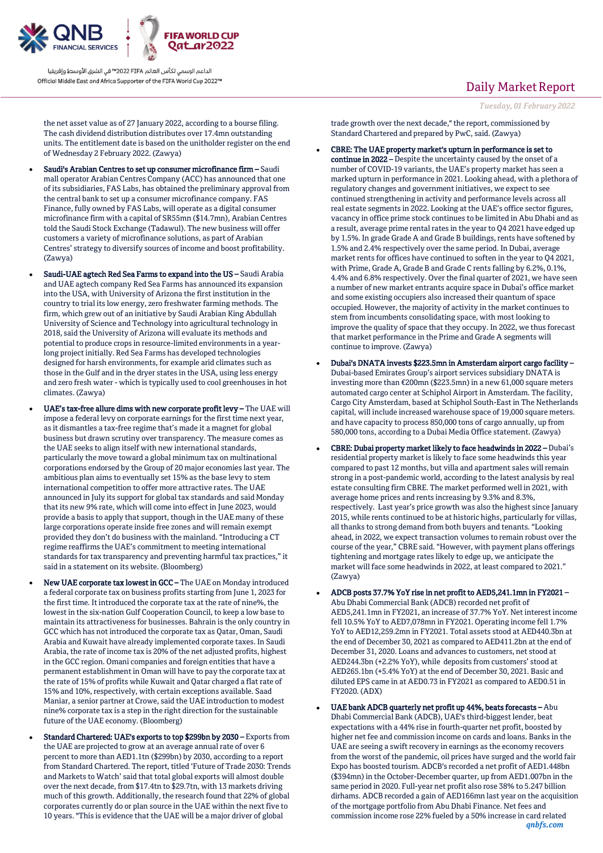

the net asset value as of 27 January 2022, according to a bourse filing. The cash dividend distribution distributes over 17.4mn outstanding units. The entitlement date is based on the unitholder register on the end of Wednesday 2 February 2022. (Zawya)

- Saudi's Arabian Centres to set up consumer microfinance firm Saudi mall operator Arabian Centres Company (ACC) has announced that one of its subsidiaries, FAS Labs, has obtained the preliminary approval from the central bank to set up a consumer microfinance company. FAS Finance, fully owned by FAS Labs, will operate as a digital consumer microfinance firm with a capital of SR55mn (\$14.7mn), Arabian Centres told the Saudi Stock Exchange (Tadawul). The new business will offer customers a variety of microfinance solutions, as part of Arabian Centres' strategy to diversify sources of income and boost profitability. (Zawya)
- Saudi-UAE agtech Red Sea Farms to expand into the US Saudi Arabia and UAE agtech company Red Sea Farms has announced its expansion into the USA, with University of Arizona the first institution in the country to trial its low energy, zero freshwater farming methods. The firm, which grew out of an initiative by Saudi Arabian King Abdullah University of Science and Technology into agricultural technology in 2018, said the University of Arizona will evaluate its methods and potential to produce crops in resource-limited environments in a yearlong project initially. Red Sea Farms has developed technologies designed for harsh environments, for example arid climates such as those in the Gulf and in the dryer states in the USA, using less energy and zero fresh water - which is typically used to cool greenhouses in hot climates. (Zawya)
- UAE's tax-free allure dims with new corporate profit levy The UAE will impose a federal levy on corporate earnings for the first time next year, as it dismantles a tax-free regime that's made it a magnet for global business but drawn scrutiny over transparency. The measure comes as the UAE seeks to align itself with new international standards, particularly the move toward a global minimum tax on multinational corporations endorsed by the Group of 20 major economies last year. The ambitious plan aims to eventually set 15% as the base levy to stem international competition to offer more attractive rates. The UAE announced in July its support for global tax standards and said Monday that its new 9% rate, which will come into effect in June 2023, would provide a basis to apply that support, though in the UAE many of these large corporations operate inside free zones and will remain exempt provided they don't do business with the mainland. "Introducing a CT regime reaffirms the UAE's commitment to meeting international standards for tax transparency and preventing harmful tax practices," it said in a statement on its website. (Bloomberg)
- New UAE corporate tax lowest in GCC The UAE on Monday introduced a federal corporate tax on business profits starting from June 1, 2023 for the first time. It introduced the corporate tax at the rate of nine%, the lowest in the six-nation Gulf Cooperation Council, to keep a low base to maintain its attractiveness for businesses. Bahrain is the only country in GCC which has not introduced the corporate tax as Qatar, Oman, Saudi Arabia and Kuwait have already implemented corporate taxes. In Saudi Arabia, the rate of income tax is 20% of the net adjusted profits, highest in the GCC region. Omani companies and foreign entities that have a permanent establishment in Oman will have to pay the corporate tax at the rate of 15% of profits while Kuwait and Qatar charged a flat rate of 15% and 10%, respectively, with certain exceptions available. Saad Maniar, a senior partner at Crowe, said the UAE introduction to modest nine% corporate tax is a step in the right direction for the sustainable future of the UAE economy. (Bloomberg)
- Standard Chartered: UAE's exports to top \$299bn by 2030 Exports from the UAE are projected to grow at an average annual rate of over 6 percent to more than AED1.1tn (\$299bn) by 2030, according to a report from Standard Chartered. The report, titled 'Future of Trade 2030: Trends and Markets to Watch' said that total global exports will almost double over the next decade, from \$17.4tn to \$29.7tn, with 13 markets driving much of this growth. Additionally, the research found that 22% of global corporates currently do or plan source in the UAE within the next five to 10 years. "This is evidence that the UAE will be a major driver of global

# Daily Market Report

```
Tuesday, 01February 2022
```
trade growth over the next decade," the report, commissioned by Standard Chartered and prepared by PwC, said. (Zawya)

- CBRE: The UAE property market's upturn in performance is set to continue in 2022 – Despite the uncertainty caused by the onset of a number of COVID-19 variants, the UAE's property market has seen a marked upturn in performance in 2021. Looking ahead, with a plethora of regulatory changes and government initiatives, we expect to see continued strengthening in activity and performance levels across all real estate segments in 2022. Looking at the UAE's office sector figures, vacancy in office prime stock continues to be limited in Abu Dhabi and as a result, average prime rental rates in the year to Q4 2021 have edged up by 1.5%. In grade Grade A and Grade B buildings, rents have softened by 1.5% and 2.4% respectively over the same period. In Dubai, average market rents for offices have continued to soften in the year to Q4 2021, with Prime, Grade A, Grade B and Grade C rents falling by 6.2%, 0.1%, 4.4% and 6.8% respectively. Over the final quarter of 2021, we have seen a number of new market entrants acquire space in Dubai's office market and some existing occupiers also increased their quantum of space occupied. However, the majority of activity in the market continues to stem from incumbents consolidating space, with most looking to improve the quality of space that they occupy. In 2022, we thus forecast that market performance in the Prime and Grade A segments will continue to improve. (Zawya)
- Dubai's DNATA invests \$223.5mn in Amsterdam airport cargo facility Dubai-based Emirates Group's airport services subsidiary DNATA is investing more than €200mn (\$223.5mn) in a new 61,000 square meters automated cargo center at Schiphol Airport in Amsterdam. The facility, Cargo City Amsterdam, based at Schiphol South-East in The Netherlands capital, will include increased warehouse space of 19,000 square meters. and have capacity to process 850,000 tons of cargo annually, up from 580,000 tons, according to a Dubai Media Office statement. (Zawya)
- CBRE: Dubai property market likely to face headwinds in 2022 Dubai's residential property market is likely to face some headwinds this year compared to past 12 months, but villa and apartment sales will remain strong in a post-pandemic world, according to the latest analysis by real estate consulting firm CBRE. The market performed well in 2021, with average home prices and rents increasing by 9.3% and 8.3%, respectively. Last year's price growth was also the highest since January 2015, while rents continued to be at historic highs, particularly for villas, all thanks to strong demand from both buyers and tenants. "Looking ahead, in 2022, we expect transaction volumes to remain robust over the course of the year," CBRE said. "However, with payment plans offerings tightening and mortgage rates likely to edge up, we anticipate the market will face some headwinds in 2022, at least compared to 2021." (Zawya)
- ADCB posts 37.7% YoY rise in net profit to AED5,241.1mn in FY2021 Abu Dhabi Commercial Bank (ADCB) recorded net profit of AED5,241.1mn in FY2021, an increase of 37.7% YoY. Net interest income fell 10.5% YoY to AED7,078mn in FY2021. Operating income fell 1.7% YoY to AED12,259.2mn in FY2021. Total assets stood at AED440.3bn at the end of December 30, 2021 as compared to AED411.2bn at the end of December 31, 2020. Loans and advances to customers, net stood at AED244.3bn (+2.2% YoY), while deposits from customers' stood at AED265.1bn (+5.4% YoY) at the end of December 30, 2021. Basic and diluted EPS came in at AED0.73 in FY2021 as compared to AED0.51 in FY2020. (ADX)
- *qnbfs.com* UAE bank ADCB quarterly net profit up 44%, beats forecasts – Abu Dhabi Commercial Bank (ADCB), UAE's third-biggest lender, beat expectations with a 44% rise in fourth-quarter net profit, boosted by higher net fee and commission income on cards and loans. Banks in the UAE are seeing a swift recovery in earnings as the economy recovers from the worst of the pandemic, oil prices have surged and the world fair Expo has boosted tourism. ADCB's recorded a net profit of AED1.448bn (\$394mn) in the October-December quarter, up from AED1.007bn in the same period in 2020. Full-year net profit also rose 38% to 5.247 billion dirhams. ADCB recorded a gain of AED166mn last year on the acquisition of the mortgage portfolio from Abu Dhabi Finance. Net fees and commission income rose 22% fueled by a 50% increase in card related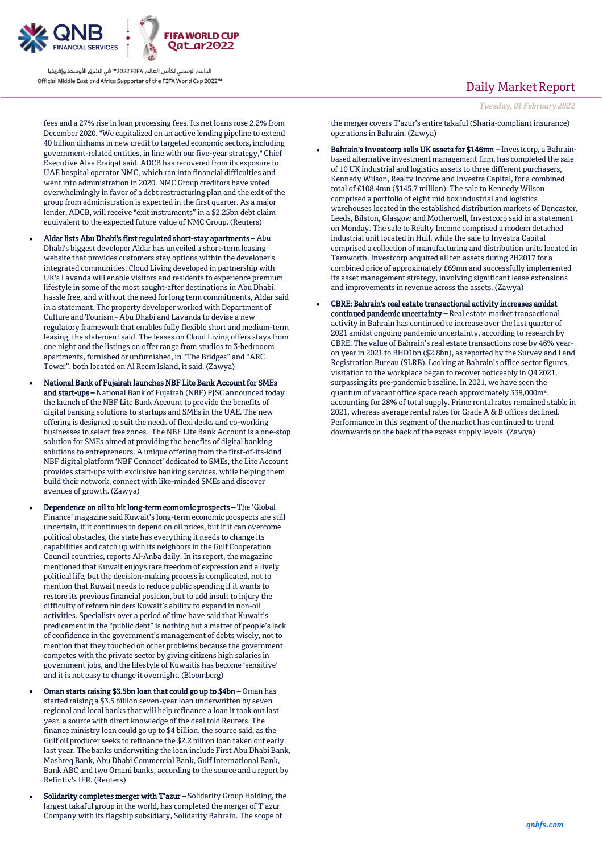

fees and a 27% rise in loan processing fees. Its net loans rose 2.2% from December 2020. "We capitalized on an active lending pipeline to extend 40 billion dirhams in new credit to targeted economic sectors, including government-related entities, in line with our five-year strategy," Chief Executive Alaa Eraiqat said. ADCB has recovered from its exposure to UAE hospital operator NMC, which ran into financial difficulties and went into administration in 2020. NMC Group creditors have voted overwhelmingly in favor of a debt restructuring plan and the exit of the group from administration is expected in the first quarter. As a major lender, ADCB, will receive "exit instruments" in a \$2.25bn debt claim equivalent to the expected future value of NMC Group. (Reuters)

- Aldar lists Abu Dhabi's first regulated short-stay apartments Abu Dhabi's biggest developer Aldar has unveiled a short-term leasing website that provides customers stay options within the developer's integrated communities. Cloud Living developed in partnership with UK's Lavanda will enable visitors and residents to experience premium lifestyle in some of the most sought-after destinations in Abu Dhabi, hassle free, and without the need for long term commitments, Aldar said in a statement. The property developer worked with Department of Culture and Tourism - Abu Dhabi and Lavanda to devise a new regulatory framework that enables fully flexible short and medium-term leasing, the statement said. The leases on Cloud Living offers stays from one night and the listings on offer range from studios to 3-bedrooom apartments, furnished or unfurnished, in "The Bridges" and "ARC Tower", both located on Al Reem Island, it said. (Zawya)
- National Bank of Fujairah launches NBF Lite Bank Account for SMEs and start-ups – National Bank of Fujairah (NBF) PJSC announced today the launch of the NBF Lite Bank Account to provide the benefits of digital banking solutions to startups and SMEs in the UAE. The new offering is designed to suit the needs of flexi desks and co-working businesses in select free zones. The NBF Lite Bank Account is a one-stop solution for SMEs aimed at providing the benefits of digital banking solutions to entrepreneurs. A unique offering from the first-of-its-kind NBF digital platform 'NBF Connect' dedicated to SMEs, the Lite Account provides start-ups with exclusive banking services, while helping them build their network, connect with like-minded SMEs and discover avenues of growth. (Zawya)
- Dependence on oil to hit long-term economic prospects The 'Global Finance' magazine said Kuwait's long-term economic prospects are still uncertain, if it continues to depend on oil prices, but if it can overcome political obstacles, the state has everything it needs to change its capabilities and catch up with its neighbors in the Gulf Cooperation Council countries, reports Al-Anba daily. In its report, the magazine mentioned that Kuwait enjoys rare freedom of expression and a lively political life, but the decision-making process is complicated, not to mention that Kuwait needs to reduce public spending if it wants to restore its previous financial position, but to add insult to injury the difficulty of reform hinders Kuwait's ability to expand in non-oil activities. Specialists over a period of time have said that Kuwait's predicament in the "public debt" is nothing but a matter of people's lack of confidence in the government's management of debts wisely, not to mention that they touched on other problems because the government competes with the private sector by giving citizens high salaries in government jobs, and the lifestyle of Kuwaitis has become 'sensitive' and it is not easy to change it overnight. (Bloomberg)
- Oman starts raising \$3.5bn loan that could go up to \$4bn Oman has started raising a \$3.5 billion seven-year loan underwritten by seven regional and local banks that will help refinance a loan it took out last year, a source with direct knowledge of the deal told Reuters. The finance ministry loan could go up to \$4 billion, the source said, as the Gulf oil producer seeks to refinance the \$2.2 billion loan taken out early last year. The banks underwriting the loan include First Abu Dhabi Bank, Mashreq Bank, Abu Dhabi Commercial Bank, Gulf International Bank, Bank ABC and two Omani banks, according to the source and a report by Refintiv's IFR. (Reuters)
- Solidarity completes merger with T'azur Solidarity Group Holding, the largest takaful group in the world, has completed the merger of T'azur Company with its flagship subsidiary, Solidarity Bahrain. The scope of

# Daily Market Report

the merger covers T'azur's entire takaful (Sharia-compliant insurance) operations in Bahrain. (Zawya)

- Bahrain's Investcorp sells UK assets for \$146mn Investcorp, a Bahrainbased alternative investment management firm, has completed the sale of 10 UK industrial and logistics assets to three different purchasers, Kennedy Wilson, Realty Income and Investra Capital, for a combined total of £108.4mn (\$145.7 million). The sale to Kennedy Wilson comprised a portfolio of eight mid box industrial and logistics warehouses located in the established distribution markets of Doncaster, Leeds, Bilston, Glasgow and Motherwell, Investcorp said in a statement on Monday. The sale to Realty Income comprised a modern detached industrial unit located in Hull, while the sale to Investra Capital comprised a collection of manufacturing and distribution units located in Tamworth. Investcorp acquired all ten assets during 2H2017 for a combined price of approximately £69mn and successfully implemented its asset management strategy, involving significant lease extensions and improvements in revenue across the assets. (Zawya)
- CBRE: Bahrain's real estate transactional activity increases amidst continued pandemic uncertainty – Real estate market transactional activity in Bahrain has continued to increase over the last quarter of 2021 amidst ongoing pandemic uncertainty, according to research by CBRE. The value of Bahrain's real estate transactions rose by 46% yearon year in 2021 to BHD1bn (\$2.8bn), as reported by the Survey and Land Registration Bureau (SLRB). Looking at Bahrain's office sector figures, visitation to the workplace began to recover noticeably in Q4 2021, surpassing its pre-pandemic baseline. In 2021, we have seen the quantum of vacant office space reach approximately 339,000m², accounting for 28% of total supply. Prime rental rates remained stable in 2021, whereas average rental rates for Grade A & B offices declined. Performance in this segment of the market has continued to trend downwards on the back of the excess supply levels. (Zawya)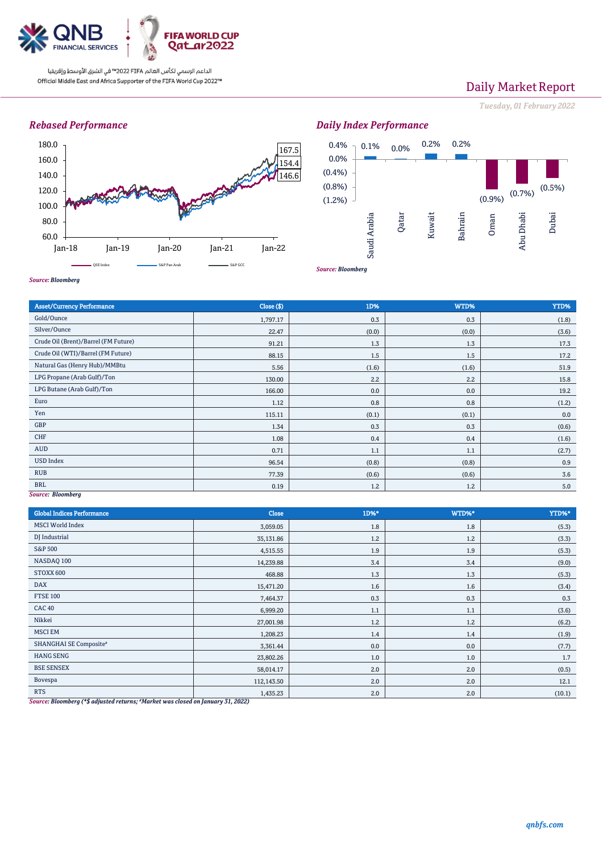

# Daily Market Report

*Tuesday, 01February 2022*

## *Rebased Performance*





*Source: Bloomberg*

| <b>Asset/Currency Performance</b>    | Close (\$) | 1D%   | WTD%  | YTD%  |  |  |
|--------------------------------------|------------|-------|-------|-------|--|--|
| Gold/Ounce                           | 1,797.17   | 0.3   | 0.3   | (1.8) |  |  |
| Silver/Ounce                         | 22.47      | (0.0) | (0.0) | (3.6) |  |  |
| Crude Oil (Brent)/Barrel (FM Future) | 91.21      | 1.3   | 1.3   | 17.3  |  |  |
| Crude Oil (WTI)/Barrel (FM Future)   | 88.15      | 1.5   | 1.5   | 17.2  |  |  |
| Natural Gas (Henry Hub)/MMBtu        | 5.56       | (1.6) | (1.6) | 51.9  |  |  |
| LPG Propane (Arab Gulf)/Ton          | 130.00     | 2.2   | 2.2   | 15.8  |  |  |
| LPG Butane (Arab Gulf)/Ton           | 166.00     | 0.0   | 0.0   | 19.2  |  |  |
| Euro                                 | 1.12       | 0.8   | 0.8   | (1.2) |  |  |
| Yen                                  | 115.11     | (0.1) | (0.1) | 0.0   |  |  |
| GBP                                  | 1.34       | 0.3   | 0.3   | (0.6) |  |  |
| CHF                                  | 1.08       | 0.4   | 0.4   | (1.6) |  |  |
| <b>AUD</b>                           | 0.71       | 1.1   | 1.1   | (2.7) |  |  |
| <b>USD Index</b>                     | 96.54      | (0.8) | (0.8) | 0.9   |  |  |
| <b>RUB</b>                           | 77.39      | (0.6) | (0.6) | 3.6   |  |  |
| <b>BRL</b>                           | 0.19       | 1.2   | 1.2   | 5.0   |  |  |
| <b>Source: Bloomberg</b>             |            |       |       |       |  |  |

| <b>Global Indices Performance</b> | <b>Close</b> | 1D%* | WTD%* | YTD%*  |
|-----------------------------------|--------------|------|-------|--------|
| <b>MSCI</b> World Index           | 3,059.05     | 1.8  | 1.8   | (5.3)  |
| DJ Industrial                     | 35,131.86    | 1.2  | 1.2   | (3.3)  |
| <b>S&amp;P 500</b>                | 4,515.55     | 1.9  | 1.9   | (5.3)  |
| NASDAQ 100                        | 14,239.88    | 3.4  | 3.4   | (9.0)  |
| STOXX 600                         | 468.88       | 1.3  | 1.3   | (5.3)  |
| <b>DAX</b>                        | 15,471.20    | 1.6  | 1.6   | (3.4)  |
| <b>FTSE 100</b>                   | 7,464.37     | 0.3  | 0.3   | 0.3    |
| <b>CAC 40</b>                     | 6,999.20     | 1.1  | 1.1   | (3.6)  |
| Nikkei                            | 27,001.98    | 1.2  | 1.2   | (6.2)  |
| <b>MSCI EM</b>                    | 1,208.23     | 1.4  | 1.4   | (1.9)  |
| SHANGHAI SE Composite#            | 3,361.44     | 0.0  | 0.0   | (7.7)  |
| <b>HANG SENG</b>                  | 23,802.26    | 1.0  | 1.0   | 1.7    |
| <b>BSE SENSEX</b>                 | 58,014.17    | 2.0  | 2.0   | (0.5)  |
| Bovespa                           | 112,143.50   | 2.0  | 2.0   | 12.1   |
| <b>RTS</b>                        | 1,435.23     | 2.0  | 2.0   | (10.1) |

*Source: Bloomberg (\*\$ adjusted returns; #Market was closed on January 31, 2022)*